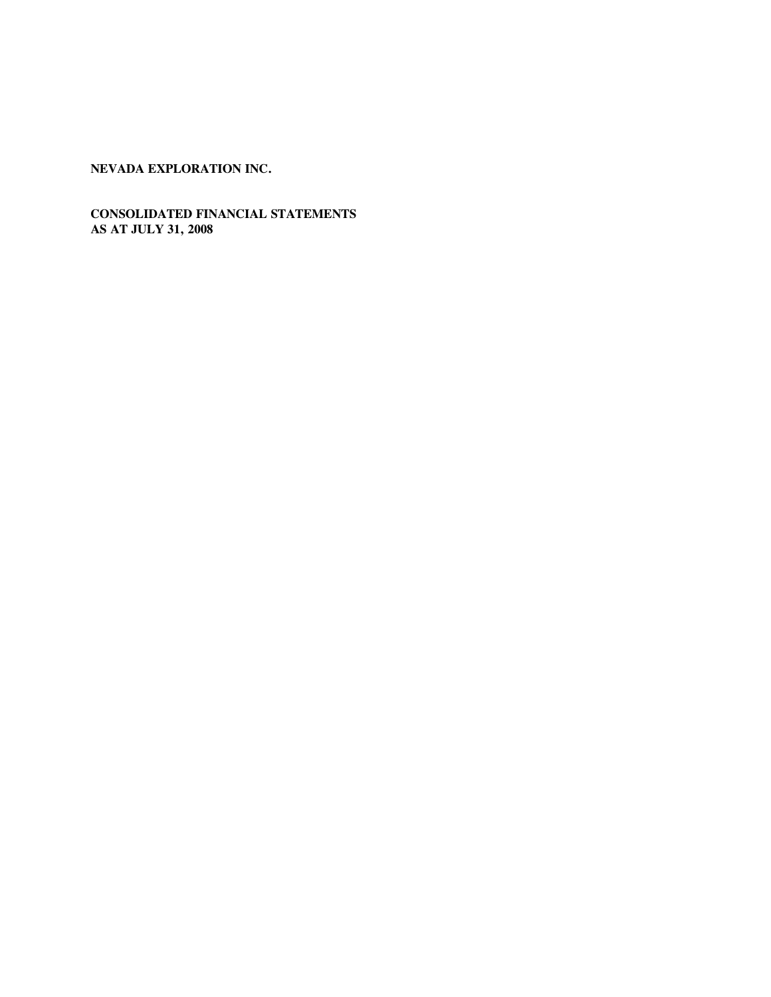# **CONSOLIDATED FINANCIAL STATEMENTS AS AT JULY 31, 2008**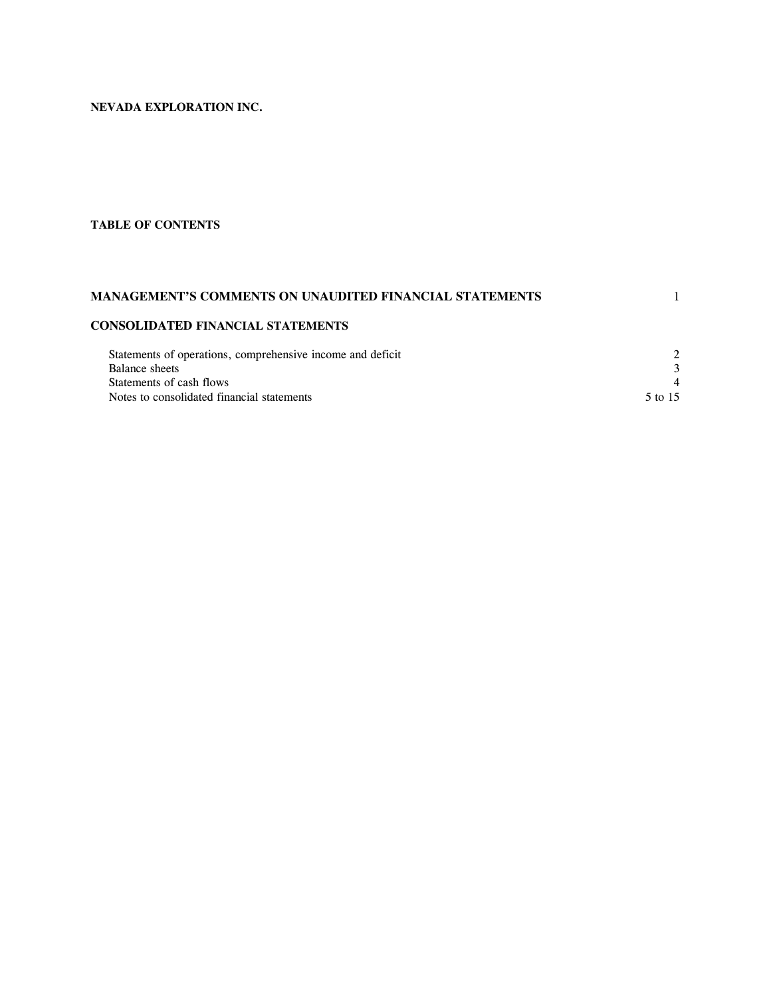# **TABLE OF CONTENTS**

# **MANAGEMENT'S COMMENTS ON UNAUDITED FINANCIAL STATEMENTS** 1

# **CONSOLIDATED FINANCIAL STATEMENTS**

| Statements of operations, comprehensive income and deficit |         |
|------------------------------------------------------------|---------|
| Balance sheets                                             |         |
| Statements of cash flows                                   | 4       |
| Notes to consolidated financial statements                 | 5 to 15 |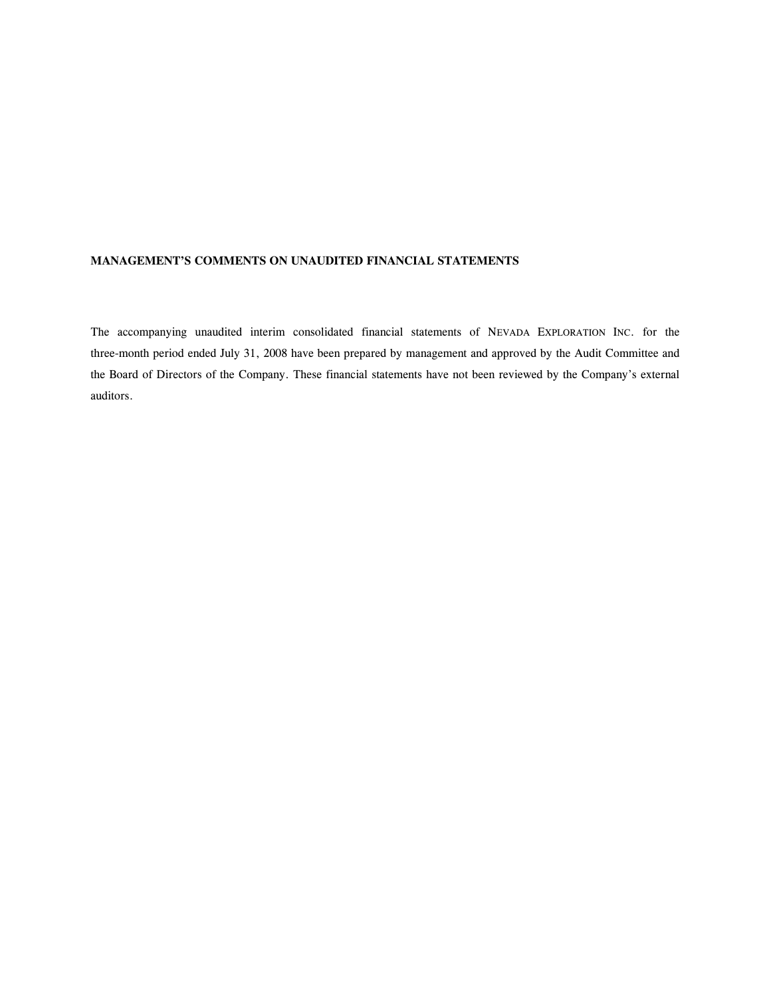### **MANAGEMENT'S COMMENTS ON UNAUDITED FINANCIAL STATEMENTS**

The accompanying unaudited interim consolidated financial statements of NEVADA EXPLORATION INC. for the three-month period ended July 31, 2008 have been prepared by management and approved by the Audit Committee and the Board of Directors of the Company. These financial statements have not been reviewed by the Company's external auditors.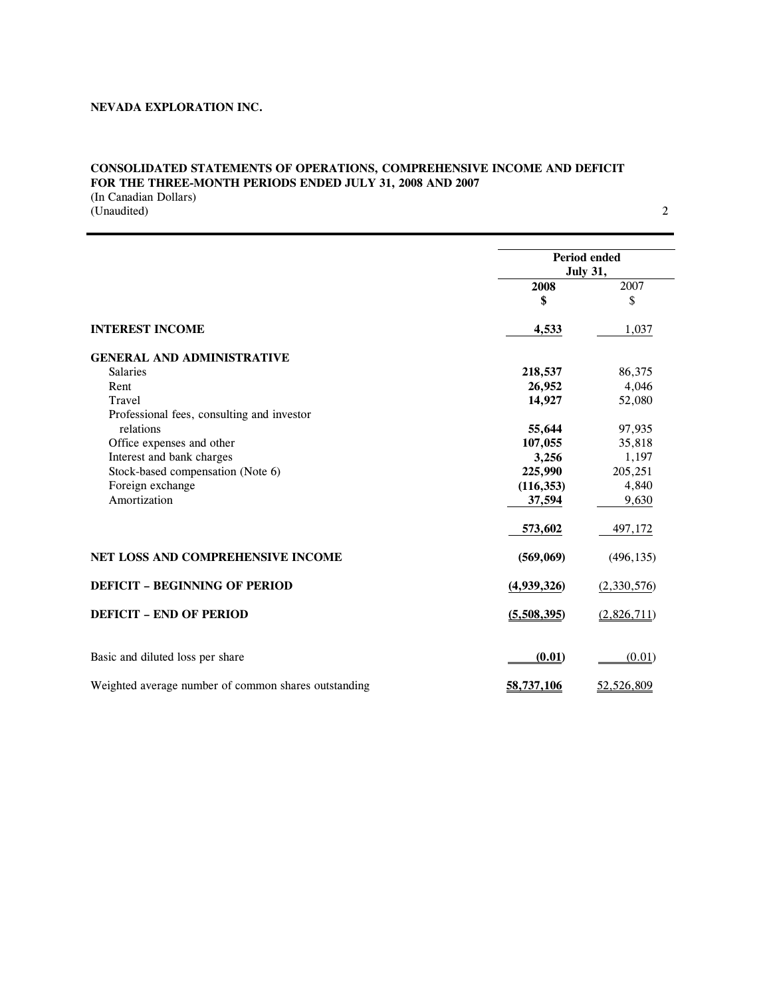# **CONSOLIDATED STATEMENTS OF OPERATIONS, COMPREHENSIVE INCOME AND DEFICIT FOR THE THREE-MONTH PERIODS ENDED JULY 31, 2008 AND 2007**

(In Canadian Dollars) (Unaudited) 2

|                                                      | Period ended<br><b>July 31,</b> |             |  |
|------------------------------------------------------|---------------------------------|-------------|--|
|                                                      | 2008                            | 2007        |  |
|                                                      | \$                              | \$          |  |
| <b>INTEREST INCOME</b>                               | 4,533                           | 1,037       |  |
| <b>GENERAL AND ADMINISTRATIVE</b>                    |                                 |             |  |
| <b>Salaries</b>                                      | 218,537                         | 86,375      |  |
| Rent                                                 | 26,952                          | 4,046       |  |
| Travel                                               | 14,927                          | 52,080      |  |
| Professional fees, consulting and investor           |                                 |             |  |
| relations                                            | 55,644                          | 97,935      |  |
| Office expenses and other                            | 107,055                         | 35,818      |  |
| Interest and bank charges                            | 3,256                           | 1,197       |  |
| Stock-based compensation (Note 6)                    | 225,990                         | 205,251     |  |
| Foreign exchange                                     | (116, 353)                      | 4,840       |  |
| Amortization                                         | 37,594                          | 9,630       |  |
|                                                      | 573,602                         | 497,172     |  |
| NET LOSS AND COMPREHENSIVE INCOME                    | (569,069)                       | (496, 135)  |  |
| <b>DEFICIT - BEGINNING OF PERIOD</b>                 | (4,939,326)                     | (2,330,576) |  |
| <b>DEFICIT - END OF PERIOD</b>                       | (5,508,395)                     | (2,826,711) |  |
| Basic and diluted loss per share                     | (0.01)                          | (0.01)      |  |
| Weighted average number of common shares outstanding | 58,737,106                      |             |  |
|                                                      |                                 | 52,526,809  |  |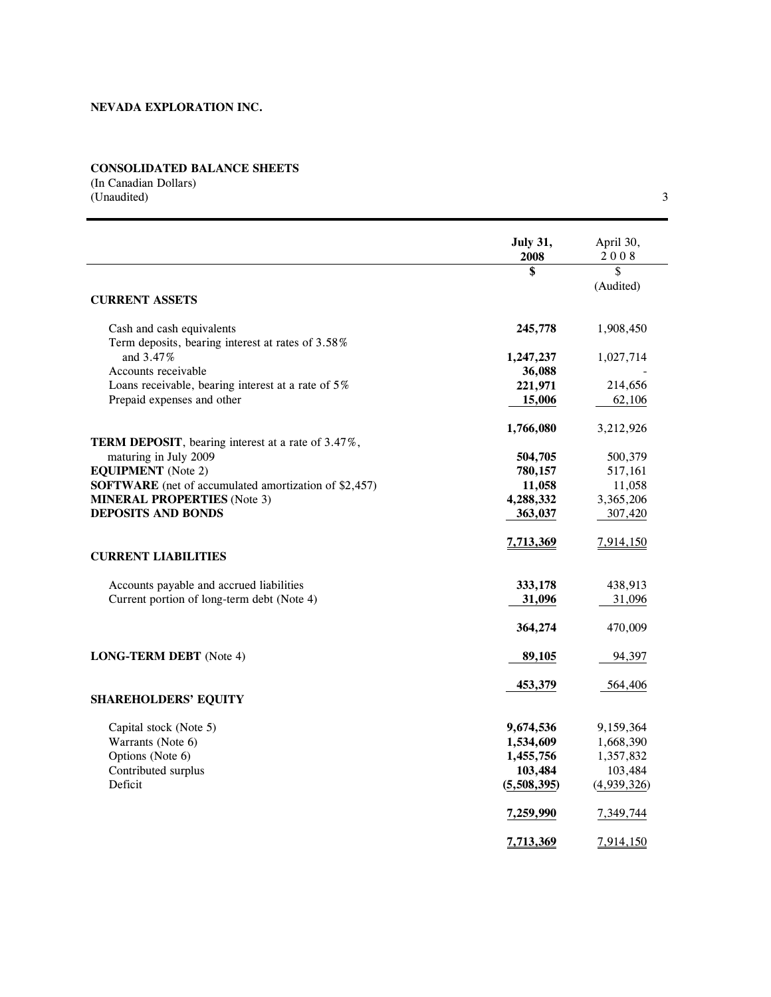# **CONSOLIDATED BALANCE SHEETS**

(In Canadian Dollars) (Unaudited) 3

|                                                            | <b>July 31,</b><br>2008 | April 30,<br>2008 |
|------------------------------------------------------------|-------------------------|-------------------|
|                                                            | \$                      | \$                |
|                                                            |                         | (Audited)         |
| <b>CURRENT ASSETS</b>                                      |                         |                   |
| Cash and cash equivalents                                  | 245,778                 | 1,908,450         |
| Term deposits, bearing interest at rates of 3.58%          |                         |                   |
| and 3.47%                                                  | 1,247,237               | 1,027,714         |
| Accounts receivable                                        | 36,088                  |                   |
| Loans receivable, bearing interest at a rate of 5%         | 221,971                 | 214,656           |
| Prepaid expenses and other                                 | 15,006                  | 62,106            |
|                                                            | 1,766,080               | 3,212,926         |
| <b>TERM DEPOSIT</b> , bearing interest at a rate of 3.47%, |                         |                   |
| maturing in July 2009                                      | 504,705                 | 500,379           |
| <b>EQUIPMENT</b> (Note 2)                                  | 780,157                 | 517,161           |
| SOFTWARE (net of accumulated amortization of \$2,457)      | 11,058                  | 11,058            |
| <b>MINERAL PROPERTIES</b> (Note 3)                         | 4,288,332               | 3,365,206         |
| <b>DEPOSITS AND BONDS</b>                                  | 363,037                 | 307,420           |
|                                                            | 7,713,369               | 7,914,150         |
| <b>CURRENT LIABILITIES</b>                                 |                         |                   |
| Accounts payable and accrued liabilities                   | 333,178                 | 438,913           |
| Current portion of long-term debt (Note 4)                 | 31,096                  | 31,096            |
|                                                            | 364,274                 | 470,009           |
| <b>LONG-TERM DEBT</b> (Note 4)                             | 89,105                  | 94,397            |
|                                                            | 453,379                 | 564,406           |
| <b>SHAREHOLDERS' EQUITY</b>                                |                         |                   |
| Capital stock (Note 5)                                     | 9,674,536               | 9,159,364         |
| Warrants (Note 6)                                          | 1,534,609               | 1,668,390         |
| Options (Note 6)                                           | 1,455,756               | 1,357,832         |
| Contributed surplus                                        | 103,484                 | 103,484           |
| Deficit                                                    | (5,508,395)             | (4,939,326)       |
|                                                            | 7,259,990               | 7,349,744         |
|                                                            | 7,713,369               | 7,914,150         |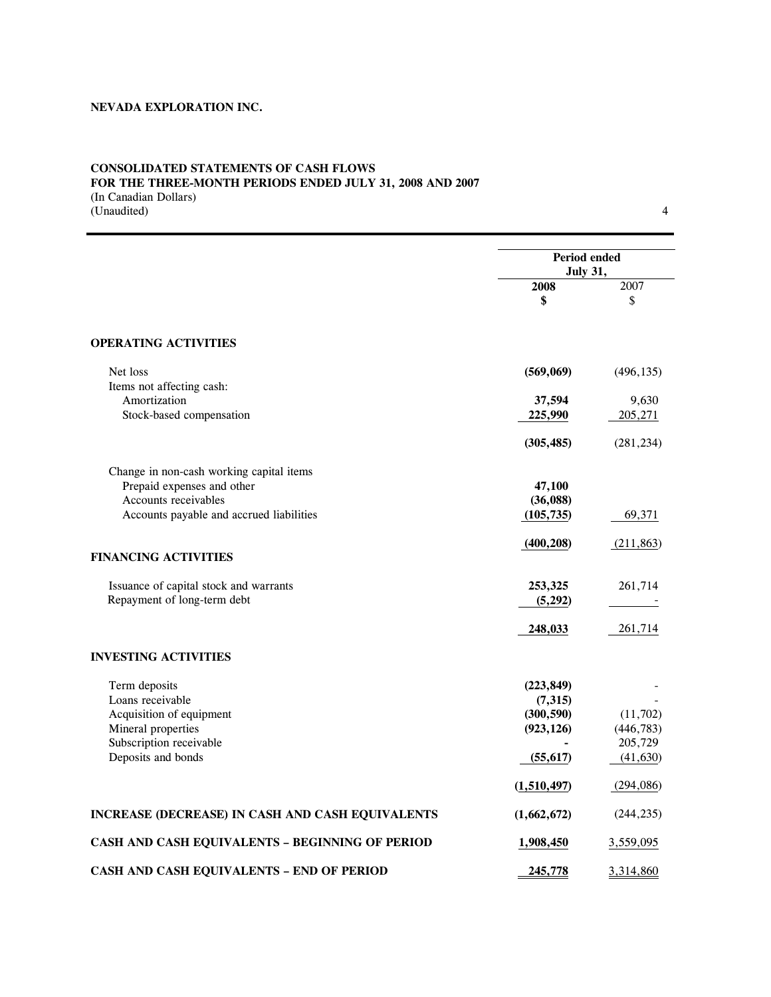### **CONSOLIDATED STATEMENTS OF CASH FLOWS FOR THE THREE-MONTH PERIODS ENDED JULY 31, 2008 AND 2007**  (In Canadian Dollars)

(Unaudited) 4

|                                                  | Period ended<br><b>July 31,</b> |            |  |
|--------------------------------------------------|---------------------------------|------------|--|
|                                                  | 2008                            | 2007       |  |
|                                                  | \$                              | \$         |  |
| <b>OPERATING ACTIVITIES</b>                      |                                 |            |  |
| Net loss                                         | (569,069)                       | (496, 135) |  |
| Items not affecting cash:                        |                                 |            |  |
| Amortization                                     | 37,594                          | 9,630      |  |
| Stock-based compensation                         | 225,990                         | 205,271    |  |
|                                                  | (305, 485)                      | (281, 234) |  |
| Change in non-cash working capital items         |                                 |            |  |
| Prepaid expenses and other                       | 47,100                          |            |  |
| Accounts receivables                             | (36,088)                        |            |  |
| Accounts payable and accrued liabilities         | (105, 735)                      | 69,371     |  |
|                                                  | (400, 208)                      | (211, 863) |  |
| <b>FINANCING ACTIVITIES</b>                      |                                 |            |  |
| Issuance of capital stock and warrants           | 253,325                         | 261,714    |  |
| Repayment of long-term debt                      | (5,292)                         |            |  |
|                                                  | 248,033                         | 261,714    |  |
| <b>INVESTING ACTIVITIES</b>                      |                                 |            |  |
| Term deposits                                    | (223, 849)                      |            |  |
| Loans receivable                                 | (7,315)                         |            |  |
| Acquisition of equipment                         | (300, 590)                      | (11,702)   |  |
| Mineral properties                               | (923, 126)                      | (446, 783) |  |
| Subscription receivable                          |                                 | 205,729    |  |
| Deposits and bonds                               | (55, 617)                       | (41, 630)  |  |
|                                                  | (1,510,497)                     | (294, 086) |  |
| INCREASE (DECREASE) IN CASH AND CASH EQUIVALENTS | (1,662,672)                     | (244, 235) |  |
| CASH AND CASH EQUIVALENTS - BEGINNING OF PERIOD  | 1,908,450                       | 3,559,095  |  |
| CASH AND CASH EQUIVALENTS - END OF PERIOD        | 245,778                         | 3,314,860  |  |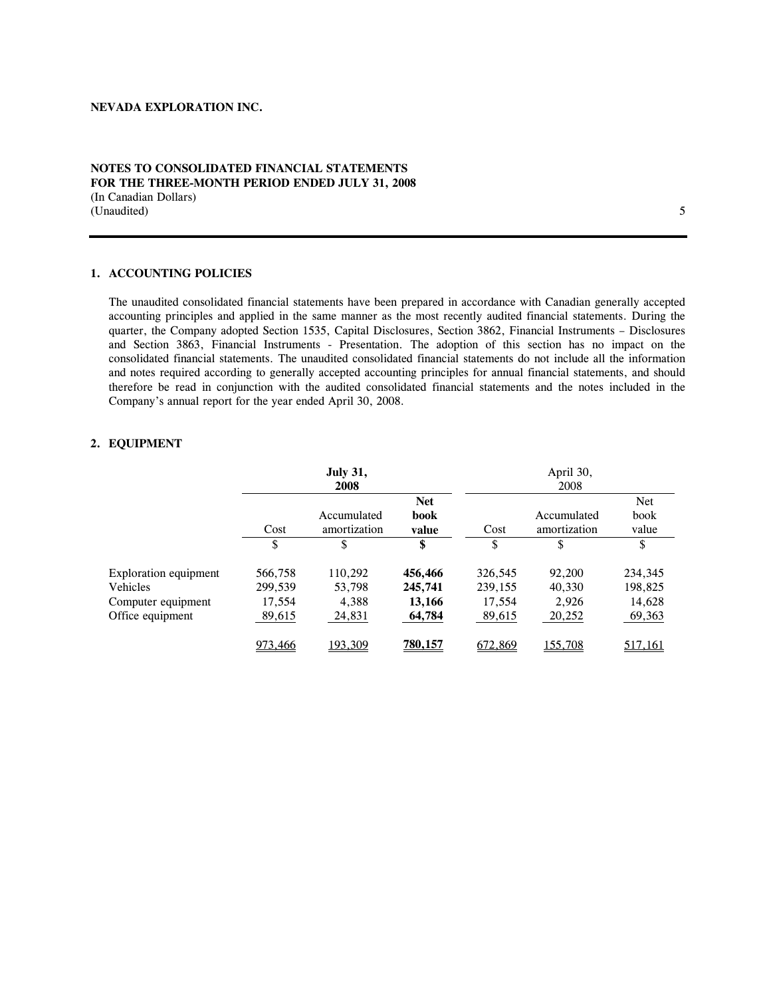### **NOTES TO CONSOLIDATED FINANCIAL STATEMENTS FOR THE THREE-MONTH PERIOD ENDED JULY 31, 2008**  (In Canadian Dollars) (Unaudited) 5

#### **1. ACCOUNTING POLICIES**

The unaudited consolidated financial statements have been prepared in accordance with Canadian generally accepted accounting principles and applied in the same manner as the most recently audited financial statements. During the quarter, the Company adopted Section 1535, Capital Disclosures, Section 3862, Financial Instruments – Disclosures and Section 3863, Financial Instruments - Presentation. The adoption of this section has no impact on the consolidated financial statements. The unaudited consolidated financial statements do not include all the information and notes required according to generally accepted accounting principles for annual financial statements, and should therefore be read in conjunction with the audited consolidated financial statements and the notes included in the Company's annual report for the year ended April 30, 2008.

# **2. EQUIPMENT**

|                              |         | <b>July 31,</b> |                |         | April 30,    |            |
|------------------------------|---------|-----------------|----------------|---------|--------------|------------|
|                              |         | 2008            |                |         | 2008         |            |
|                              |         |                 | <b>Net</b>     |         |              | <b>Net</b> |
|                              |         | Accumulated     | book           |         | Accumulated  | book       |
|                              | Cost    | amortization    | value          | Cost    | amortization | value      |
|                              | \$      |                 | \$             | S       |              | \$         |
| <b>Exploration equipment</b> | 566,758 | 110,292         | 456,466        | 326,545 | 92,200       | 234,345    |
| Vehicles                     | 299,539 | 53,798          | 245,741        | 239,155 | 40,330       | 198,825    |
| Computer equipment           | 17,554  | 4,388           | 13,166         | 17,554  | 2,926        | 14,628     |
| Office equipment             | 89,615  | 24,831          | 64,784         | 89,615  | 20,252       | 69,363     |
|                              | 973,466 | 193,309         | <b>780,157</b> | 672,869 | 155,708      | 517,161    |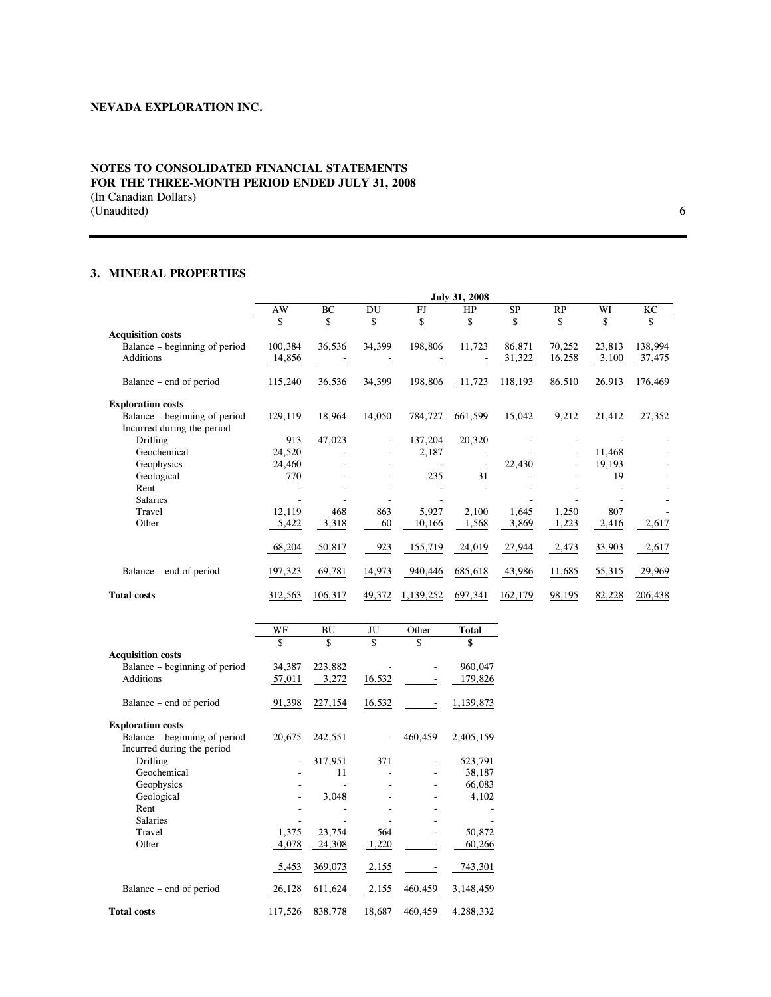### **NOTES TO CONSOLIDATED FINANCIAL STATEMENTS FOR THE THREE-MONTH PERIOD ENDED JULY 31, 2008**  (In Canadian Dollars) (Unaudited) 6

# **3. MINERAL PROPERTIES**

|                               |         |         |                          |           | July 31, 2008 |           |           |        |         |
|-------------------------------|---------|---------|--------------------------|-----------|---------------|-----------|-----------|--------|---------|
|                               | AW      | BC      | DU                       | FJ        | HP            | <b>SP</b> | <b>RP</b> | WI     | KС      |
|                               | \$      | \$      | \$                       | \$        | \$            | \$        | \$        | \$     | \$      |
| <b>Acquisition costs</b>      |         |         |                          |           |               |           |           |        |         |
| Balance – beginning of period | 100,384 | 36,536  | 34,399                   | 198,806   | 11,723        | 86,871    | 70,252    | 23,813 | 138,994 |
| Additions                     | 14,856  |         |                          |           |               | 31,322    | 16,258    | 3,100  | 37,475  |
| Balance – end of period       | 115,240 | 36,536  | 34,399                   | 198,806   | 11,723        | 118,193   | 86,510    | 26,913 | 176,469 |
| <b>Exploration costs</b>      |         |         |                          |           |               |           |           |        |         |
| Balance – beginning of period | 129,119 | 18,964  | 14,050                   | 784,727   | 661,599       | 15,042    | 9,212     | 21,412 | 27,352  |
| Incurred during the period    |         |         |                          |           |               |           |           |        |         |
| <b>Drilling</b>               | 913     | 47,023  | $\overline{\phantom{0}}$ | 137,204   | 20,320        |           |           |        |         |
| Geochemical                   | 24,520  | ٠       | ۰.                       | 2,187     |               |           | ۰         | 11,468 |         |
| Geophysics                    | 24,460  |         |                          |           |               | 22,430    |           | 19,193 |         |
| Geological                    | 770     |         |                          | 235       | 31            |           |           | 19     |         |
| Rent                          |         |         |                          |           |               |           |           |        |         |
| <b>Salaries</b>               |         |         |                          |           |               |           |           |        |         |
| Travel                        | 12,119  | 468     | 863                      | 5,927     | 2,100         | 1,645     | 1,250     | 807    |         |
| Other                         | 5,422   | 3,318   | 60                       | 10,166    | 1,568         | 3,869     | 1,223     | 2,416  | 2,617   |
|                               | 68,204  | 50,817  | 923                      | 155,719   | 24,019        | 27,944    | 2,473     | 33,903 | 2,617   |
| Balance – end of period       | 197,323 | 69,781  | 14,973                   | 940,446   | 685,618       | 43,986    | 11,685    | 55,315 | 29,969  |
| <b>Total costs</b>            | 312,563 | 106,317 | 49,372                   | 1,139,252 | 697,341       | 162,179   | 98,195    | 82,228 | 206,438 |

|                               | WF      | <b>BU</b> | JU     | Other   | <b>Total</b> |
|-------------------------------|---------|-----------|--------|---------|--------------|
|                               | \$      | \$        | \$     | \$      | \$           |
| <b>Acquisition costs</b>      |         |           |        |         |              |
| Balance – beginning of period | 34,387  | 223,882   |        |         | 960,047      |
| <b>Additions</b>              | 57,011  | 3,272     | 16,532 |         | 179,826      |
| Balance – end of period       | 91,398  | 227,154   | 16,532 |         | 1,139,873    |
| <b>Exploration costs</b>      |         |           |        |         |              |
| Balance – beginning of period | 20,675  | 242,551   |        | 460,459 | 2,405,159    |
| Incurred during the period    |         |           |        |         |              |
| <b>Drilling</b>               |         | 317,951   | 371    |         | 523,791      |
| Geochemical                   |         | 11        |        |         | 38,187       |
| Geophysics                    |         |           |        |         | 66,083       |
| Geological                    |         | 3,048     |        |         | 4,102        |
| Rent                          |         |           |        |         |              |
| <b>Salaries</b>               |         |           |        |         |              |
| Travel                        | 1,375   | 23,754    | 564    |         | 50,872       |
| Other                         | 4,078   | 24,308    | 1,220  |         | 60,266       |
|                               | 5,453   | 369,073   | 2,155  |         | 743,301      |
| Balance – end of period       | 26,128  | 611,624   | 2,155  | 460,459 | 3,148,459    |
| <b>Total costs</b>            | 117,526 | 838,778   | 18,687 | 460,459 | 4,288,332    |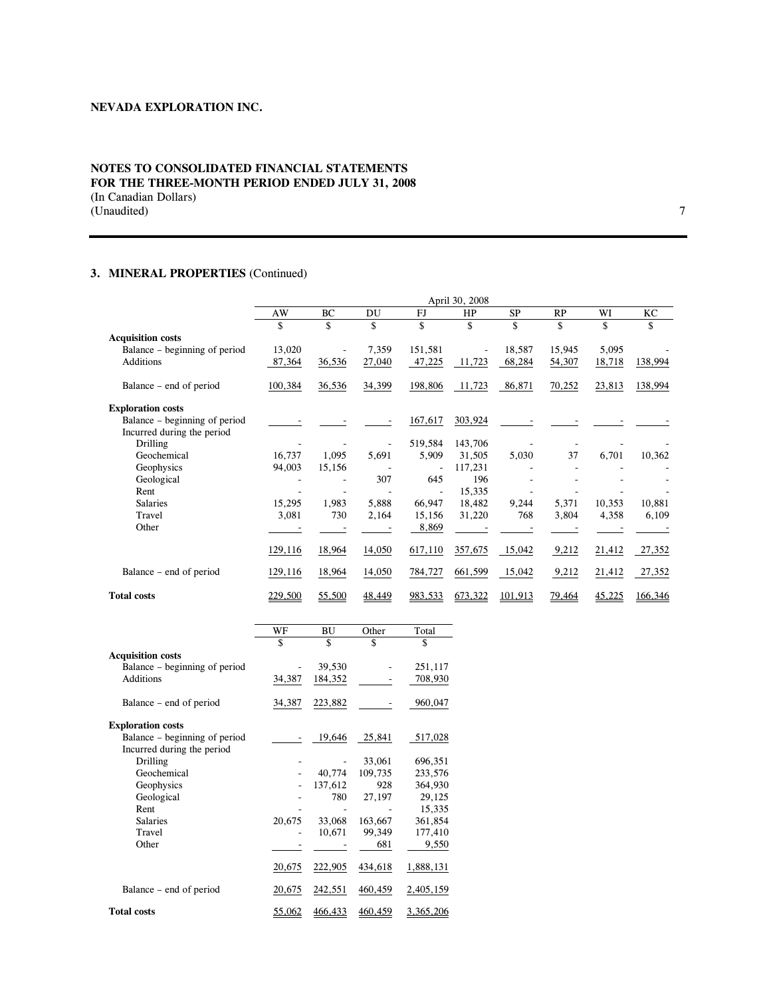### **NOTES TO CONSOLIDATED FINANCIAL STATEMENTS FOR THE THREE-MONTH PERIOD ENDED JULY 31, 2008**  (In Canadian Dollars) (Unaudited) 2012 7

# **3. MINERAL PROPERTIES** (Continued)

|                               |         |        |        |         | April 30, 2008 |           |        |        |         |
|-------------------------------|---------|--------|--------|---------|----------------|-----------|--------|--------|---------|
|                               | AW      | BC     | DU     | FJ      | HP             | <b>SP</b> | RP     | WI     | KC      |
|                               | \$      | \$     | \$     | \$      | \$             | \$        | \$     | \$     | \$      |
| <b>Acquisition costs</b>      |         |        |        |         |                |           |        |        |         |
| Balance – beginning of period | 13,020  |        | 7,359  | 151,581 | ÷,             | 18,587    | 15,945 | 5,095  |         |
| Additions                     | 87,364  | 36,536 | 27,040 | 47,225  | 11,723         | 68,284    | 54,307 | 18,718 | 138,994 |
| Balance – end of period       | 100,384 | 36,536 | 34,399 | 198,806 | 11,723         | 86,871    | 70,252 | 23,813 | 138,994 |
| <b>Exploration costs</b>      |         |        |        |         |                |           |        |        |         |
| Balance – beginning of period |         |        |        | 167,617 | 303,924        |           |        |        |         |
| Incurred during the period    |         |        |        |         |                |           |        |        |         |
| <b>Drilling</b>               |         |        |        | 519,584 | 143,706        |           |        |        |         |
| Geochemical                   | 16,737  | 1,095  | 5,691  | 5,909   | 31,505         | 5,030     | 37     | 6,701  | 10,362  |
| Geophysics                    | 94,003  | 15,156 |        |         | 117,231        |           |        |        |         |
| Geological                    |         |        | 307    | 645     | 196            |           |        |        |         |
| Rent                          |         |        |        |         | 15,335         |           |        |        |         |
| <b>Salaries</b>               | 15,295  | 1,983  | 5,888  | 66,947  | 18,482         | 9,244     | 5,371  | 10,353 | 10,881  |
| Travel                        | 3,081   | 730    | 2,164  | 15,156  | 31,220         | 768       | 3,804  | 4,358  | 6,109   |
| Other                         |         |        |        | 8,869   |                |           |        |        |         |
|                               | 129,116 | 18,964 | 14,050 | 617,110 | 357,675        | 15,042    | 9,212  | 21,412 | 27,352  |
| Balance – end of period       | 129,116 | 18,964 | 14,050 | 784,727 | 661,599        | 15,042    | 9,212  | 21,412 | 27,352  |
| <b>Total costs</b>            | 229,500 | 55,500 | 48,449 | 983,533 | 673,322        | 101,913   | 79,464 | 45,225 | 166,346 |

|                               | WF     | BU      | Other   | Total     |
|-------------------------------|--------|---------|---------|-----------|
|                               | \$     | \$      | \$      | \$        |
| <b>Acquisition costs</b>      |        |         |         |           |
| Balance – beginning of period |        | 39,530  |         | 251,117   |
| <b>Additions</b>              | 34,387 | 184,352 |         | 708,930   |
| Balance – end of period       | 34,387 | 223,882 |         | 960,047   |
| <b>Exploration costs</b>      |        |         |         |           |
| Balance – beginning of period |        | 19,646  | 25,841  | 517,028   |
| Incurred during the period    |        |         |         |           |
| Drilling                      |        |         | 33,061  | 696,351   |
| Geochemical                   |        | 40,774  | 109,735 | 233,576   |
| Geophysics                    |        | 137,612 | 928     | 364,930   |
| Geological                    |        | 780     | 27,197  | 29,125    |
| Rent                          |        |         |         | 15,335    |
| <b>Salaries</b>               | 20,675 | 33,068  | 163,667 | 361,854   |
| Travel                        |        | 10,671  | 99,349  | 177,410   |
| Other                         |        |         | 681     | 9,550     |
|                               | 20,675 | 222,905 | 434,618 | 1,888,131 |
| Balance – end of period       | 20,675 | 242,551 | 460,459 | 2,405,159 |
| <b>Total costs</b>            | 55,062 | 466,433 | 460,459 | 3,365,206 |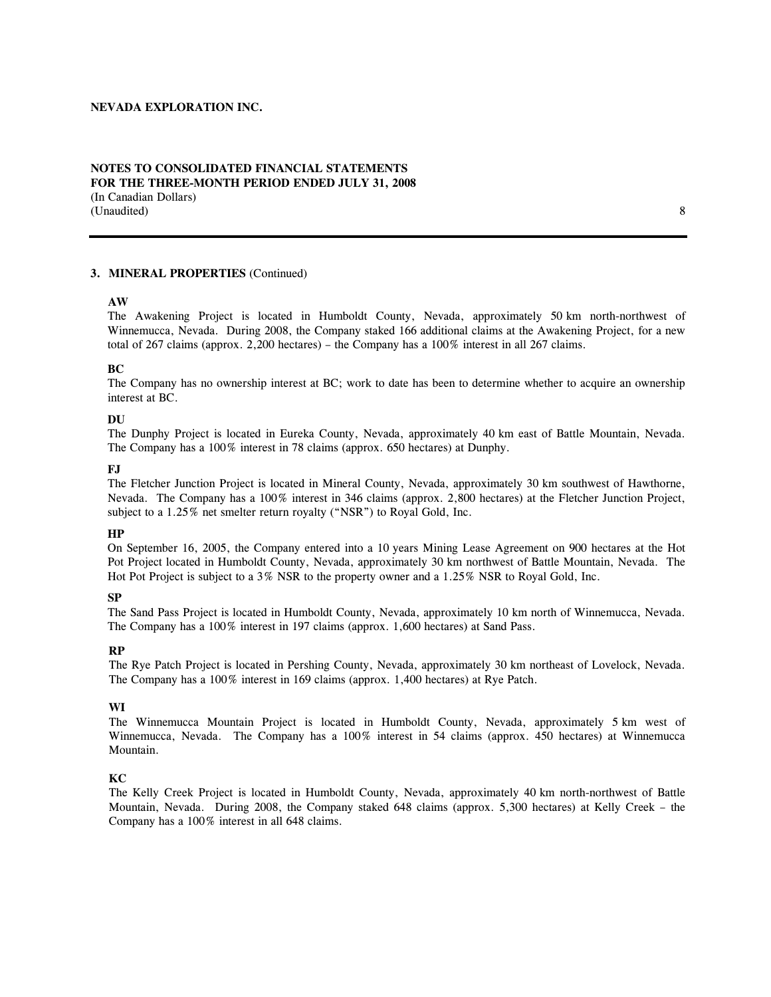### **NOTES TO CONSOLIDATED FINANCIAL STATEMENTS FOR THE THREE-MONTH PERIOD ENDED JULY 31, 2008**  (In Canadian Dollars) (Unaudited) 8

#### **3. MINERAL PROPERTIES** (Continued)

#### **AW**

The Awakening Project is located in Humboldt County, Nevada, approximately 50 km north-northwest of Winnemucca, Nevada. During 2008, the Company staked 166 additional claims at the Awakening Project, for a new total of 267 claims (approx. 2,200 hectares) – the Company has a 100% interest in all 267 claims.

#### **BC**

The Company has no ownership interest at BC; work to date has been to determine whether to acquire an ownership interest at BC.

#### **DU**

The Dunphy Project is located in Eureka County, Nevada, approximately 40 km east of Battle Mountain, Nevada. The Company has a 100% interest in 78 claims (approx. 650 hectares) at Dunphy.

#### **FJ**

The Fletcher Junction Project is located in Mineral County, Nevada, approximately 30 km southwest of Hawthorne, Nevada. The Company has a 100% interest in 346 claims (approx. 2,800 hectares) at the Fletcher Junction Project, subject to a 1.25% net smelter return royalty ("NSR") to Royal Gold, Inc.

#### **HP**

On September 16, 2005, the Company entered into a 10 years Mining Lease Agreement on 900 hectares at the Hot Pot Project located in Humboldt County, Nevada, approximately 30 km northwest of Battle Mountain, Nevada. The Hot Pot Project is subject to a 3% NSR to the property owner and a 1.25% NSR to Royal Gold, Inc.

#### **SP**

The Sand Pass Project is located in Humboldt County, Nevada, approximately 10 km north of Winnemucca, Nevada. The Company has a 100% interest in 197 claims (approx. 1,600 hectares) at Sand Pass.

#### **RP**

The Rye Patch Project is located in Pershing County, Nevada, approximately 30 km northeast of Lovelock, Nevada. The Company has a 100% interest in 169 claims (approx. 1,400 hectares) at Rye Patch.

#### **WI**

The Winnemucca Mountain Project is located in Humboldt County, Nevada, approximately 5 km west of Winnemucca, Nevada. The Company has a 100% interest in 54 claims (approx. 450 hectares) at Winnemucca Mountain.

#### **KC**

The Kelly Creek Project is located in Humboldt County, Nevada, approximately 40 km north-northwest of Battle Mountain, Nevada. During 2008, the Company staked 648 claims (approx. 5,300 hectares) at Kelly Creek – the Company has a 100% interest in all 648 claims.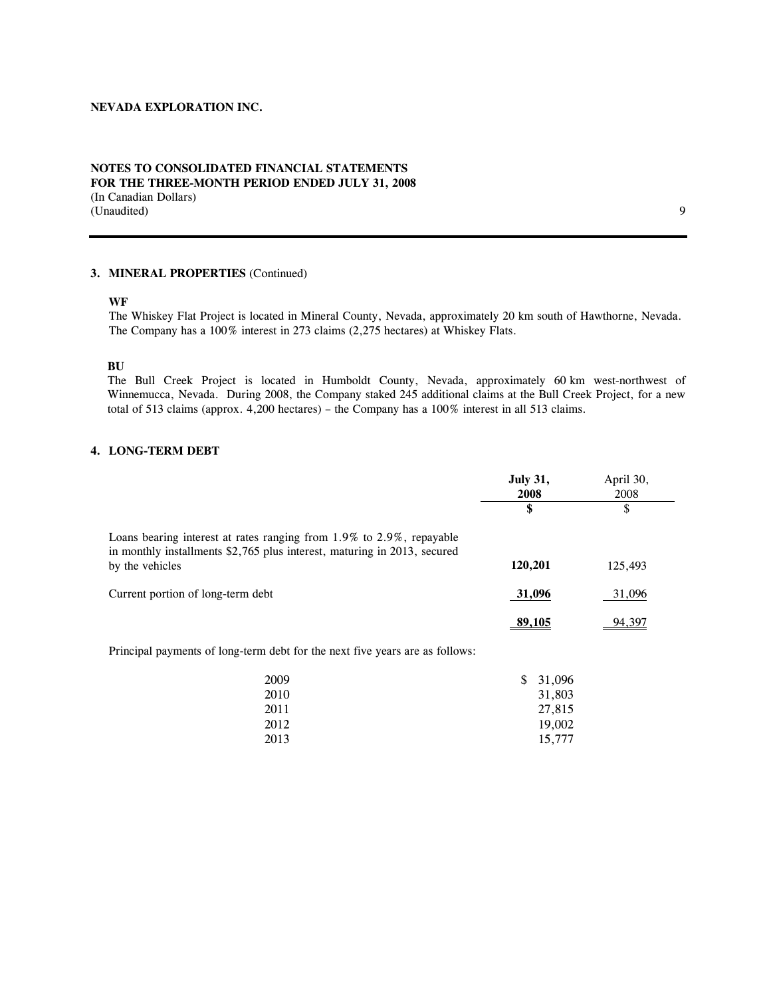### **NOTES TO CONSOLIDATED FINANCIAL STATEMENTS FOR THE THREE-MONTH PERIOD ENDED JULY 31, 2008**  (In Canadian Dollars) (Unaudited) 9

### **3. MINERAL PROPERTIES** (Continued)

#### **WF**

The Whiskey Flat Project is located in Mineral County, Nevada, approximately 20 km south of Hawthorne, Nevada. The Company has a 100% interest in 273 claims (2,275 hectares) at Whiskey Flats.

**BU** 

The Bull Creek Project is located in Humboldt County, Nevada, approximately 60 km west-northwest of Winnemucca, Nevada. During 2008, the Company staked 245 additional claims at the Bull Creek Project, for a new total of 513 claims (approx. 4,200 hectares) – the Company has a 100% interest in all 513 claims.

# **4. LONG-TERM DEBT**

|                                                                                                                                                  | <b>July 31,</b><br>2008 | April 30,<br>2008 |
|--------------------------------------------------------------------------------------------------------------------------------------------------|-------------------------|-------------------|
|                                                                                                                                                  |                         |                   |
| Loans bearing interest at rates ranging from 1.9% to 2.9%, repayable<br>in monthly installments \$2,765 plus interest, maturing in 2013, secured |                         |                   |
| by the vehicles                                                                                                                                  | 120,201                 | 125,493           |
| Current portion of long-term debt                                                                                                                | 31,096                  | 31,096            |
|                                                                                                                                                  | 89.105                  | 94,397            |

Principal payments of long-term debt for the next five years are as follows:

| 2009 | S. | 31,096 |
|------|----|--------|
| 2010 |    | 31,803 |
| 2011 |    | 27,815 |
| 2012 |    | 19,002 |
| 2013 |    | 15.777 |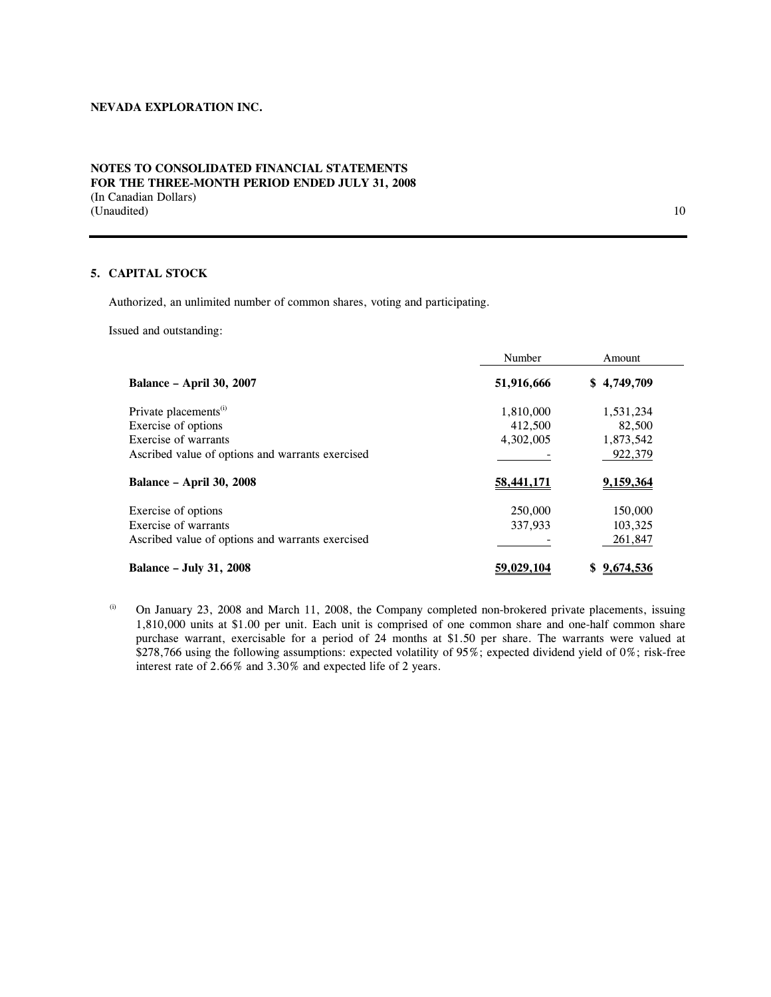### **NOTES TO CONSOLIDATED FINANCIAL STATEMENTS FOR THE THREE-MONTH PERIOD ENDED JULY 31, 2008**  (In Canadian Dollars) (Unaudited) 10

### **5. CAPITAL STOCK**

Authorized, an unlimited number of common shares, voting and participating.

Issued and outstanding:

|                                                  | Number     | Amount      |
|--------------------------------------------------|------------|-------------|
| <b>Balance - April 30, 2007</b>                  | 51,916,666 | \$4,749,709 |
| Private placements <sup>(i)</sup>                | 1,810,000  | 1,531,234   |
| Exercise of options                              | 412,500    | 82,500      |
| Exercise of warrants                             | 4,302,005  | 1,873,542   |
| Ascribed value of options and warrants exercised |            | 922,379     |
| <b>Balance - April 30, 2008</b>                  | 58,441,171 | 9,159,364   |
| Exercise of options                              | 250,000    | 150,000     |
| Exercise of warrants                             | 337,933    | 103,325     |
| Ascribed value of options and warrants exercised |            | 261,847     |
| <b>Balance - July 31, 2008</b>                   | 59,029,104 | \$9,674,536 |

 $\ldots$  On January 23, 2008 and March 11, 2008, the Company completed non-brokered private placements, issuing 1,810,000 units at \$1.00 per unit. Each unit is comprised of one common share and one-half common share purchase warrant, exercisable for a period of 24 months at \$1.50 per share. The warrants were valued at \$278,766 using the following assumptions: expected volatility of 95%; expected dividend yield of 0%; risk-free interest rate of 2.66% and 3.30% and expected life of 2 years.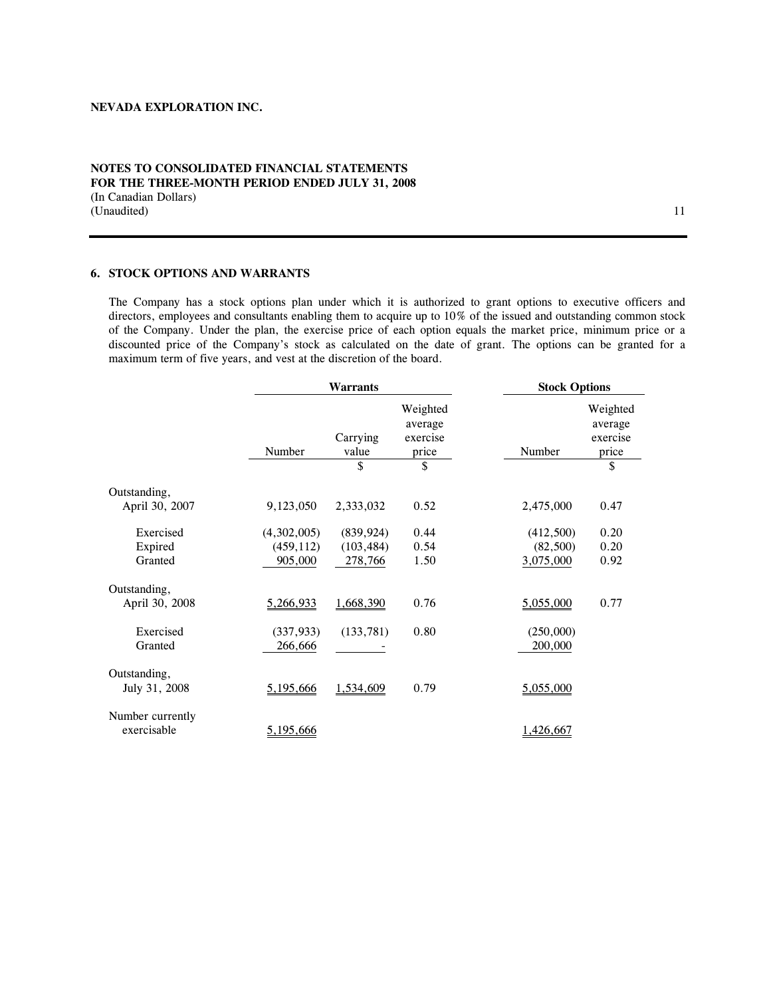### **NOTES TO CONSOLIDATED FINANCIAL STATEMENTS FOR THE THREE-MONTH PERIOD ENDED JULY 31, 2008**  (In Canadian Dollars) (Unaudited) 11

### **6. STOCK OPTIONS AND WARRANTS**

The Company has a stock options plan under which it is authorized to grant options to executive officers and directors, employees and consultants enabling them to acquire up to 10% of the issued and outstanding common stock of the Company. Under the plan, the exercise price of each option equals the market price, minimum price or a discounted price of the Company's stock as calculated on the date of grant. The options can be granted for a maximum term of five years, and vest at the discretion of the board.

|                                 | <b>Warrants</b>       |                   |                                          | <b>Stock Options</b> |                                          |
|---------------------------------|-----------------------|-------------------|------------------------------------------|----------------------|------------------------------------------|
|                                 | Number                | Carrying<br>value | Weighted<br>average<br>exercise<br>price | Number               | Weighted<br>average<br>exercise<br>price |
|                                 |                       | \$                | \$                                       |                      | \$                                       |
| Outstanding,<br>April 30, 2007  | 9,123,050             | 2,333,032         | 0.52                                     | 2,475,000            | 0.47                                     |
| Exercised                       | (4,302,005)           | (839, 924)        | 0.44                                     | (412,500)            | 0.20                                     |
| Expired                         | (459, 112)            | (103, 484)        | 0.54                                     | (82,500)             | 0.20                                     |
| Granted                         | 905,000               | 278,766           | 1.50                                     | 3,075,000            | 0.92                                     |
| Outstanding,<br>April 30, 2008  | 5,266,933             | 1,668,390         | 0.76                                     | 5,055,000            | 0.77                                     |
| Exercised<br>Granted            | (337, 933)<br>266,666 | (133, 781)        | 0.80                                     | (250,000)<br>200,000 |                                          |
| Outstanding,<br>July 31, 2008   | 5,195,666             | 1,534,609         | 0.79                                     | 5,055,000            |                                          |
| Number currently<br>exercisable | 5,195,666             |                   |                                          | 1,426,667            |                                          |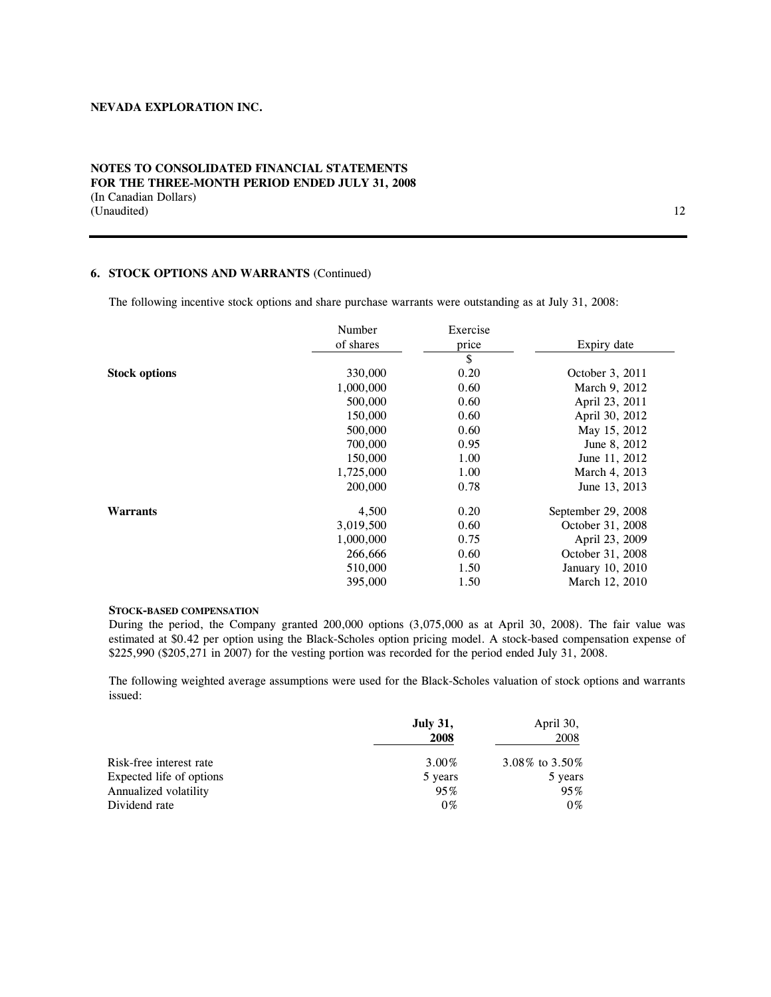### **NOTES TO CONSOLIDATED FINANCIAL STATEMENTS FOR THE THREE-MONTH PERIOD ENDED JULY 31, 2008**  (In Canadian Dollars) (Unaudited) and 12

### **6. STOCK OPTIONS AND WARRANTS** (Continued)

The following incentive stock options and share purchase warrants were outstanding as at July 31, 2008:

|                      | Number    | Exercise |                    |
|----------------------|-----------|----------|--------------------|
|                      | of shares | price    | Expiry date        |
|                      |           | \$       |                    |
| <b>Stock options</b> | 330,000   | 0.20     | October 3, 2011    |
|                      | 1,000,000 | 0.60     | March 9, 2012      |
|                      | 500,000   | 0.60     | April 23, 2011     |
|                      | 150,000   | 0.60     | April 30, 2012     |
|                      | 500,000   | 0.60     | May 15, 2012       |
|                      | 700,000   | 0.95     | June 8, 2012       |
|                      | 150,000   | 1.00     | June 11, 2012      |
|                      | 1,725,000 | 1.00     | March 4, 2013      |
|                      | 200,000   | 0.78     | June 13, 2013      |
| Warrants             | 4,500     | 0.20     | September 29, 2008 |
|                      | 3,019,500 | 0.60     | October 31, 2008   |
|                      | 1,000,000 | 0.75     | April 23, 2009     |
|                      | 266,666   | 0.60     | October 31, 2008   |
|                      | 510,000   | 1.50     | January 10, 2010   |
|                      | 395,000   | 1.50     | March 12, 2010     |

#### **STOCK-BASED COMPENSATION**

During the period, the Company granted 200,000 options (3,075,000 as at April 30, 2008). The fair value was estimated at \$0.42 per option using the Black-Scholes option pricing model. A stock-based compensation expense of \$225,990 (\$205,271 in 2007) for the vesting portion was recorded for the period ended July 31, 2008.

The following weighted average assumptions were used for the Black-Scholes valuation of stock options and warrants issued:

|                          | <b>July 31,</b><br>2008 | April 30,<br>2008 |
|--------------------------|-------------------------|-------------------|
| Risk-free interest rate  | $3.00\%$                | 3.08\% to 3.50\%  |
| Expected life of options | 5 years                 | 5 years           |
| Annualized volatility    | 95%                     | $95\%$            |
| Dividend rate            | $0\%$                   | $0\%$             |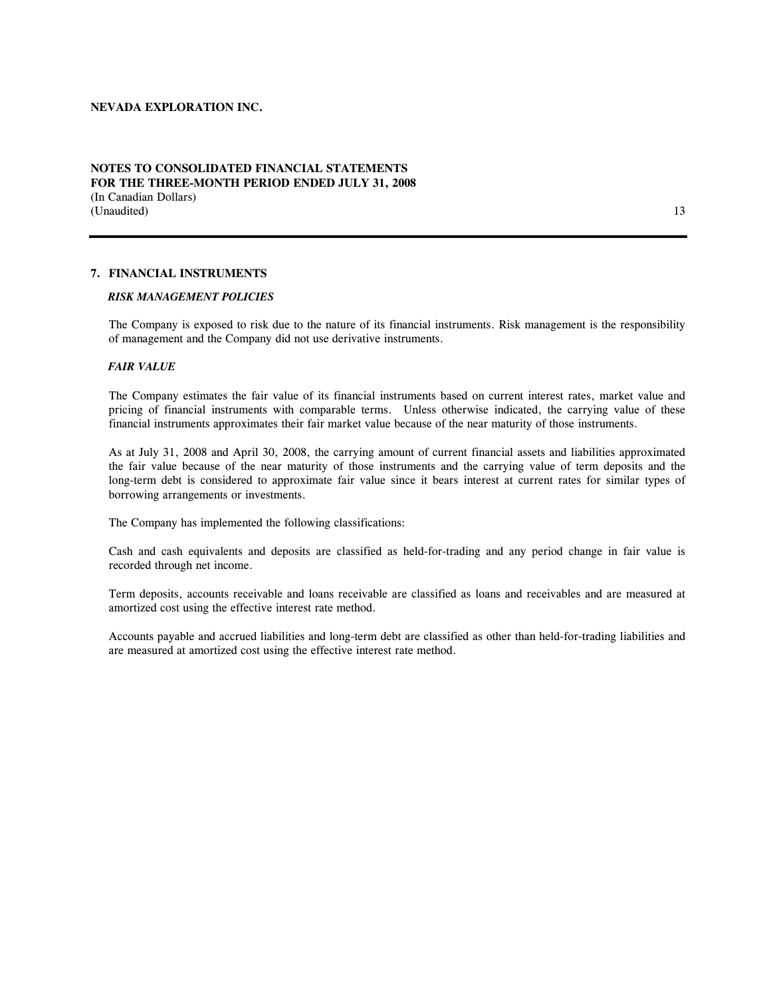### **NOTES TO CONSOLIDATED FINANCIAL STATEMENTS FOR THE THREE-MONTH PERIOD ENDED JULY 31, 2008**  (In Canadian Dollars) (Unaudited) and 13

### **7. FINANCIAL INSTRUMENTS**

### *RISK MANAGEMENT POLICIES*

The Company is exposed to risk due to the nature of its financial instruments. Risk management is the responsibility of management and the Company did not use derivative instruments.

#### *FAIR VALUE*

The Company estimates the fair value of its financial instruments based on current interest rates, market value and pricing of financial instruments with comparable terms. Unless otherwise indicated, the carrying value of these financial instruments approximates their fair market value because of the near maturity of those instruments.

As at July 31, 2008 and April 30, 2008, the carrying amount of current financial assets and liabilities approximated the fair value because of the near maturity of those instruments and the carrying value of term deposits and the long-term debt is considered to approximate fair value since it bears interest at current rates for similar types of borrowing arrangements or investments.

The Company has implemented the following classifications:

Cash and cash equivalents and deposits are classified as held-for-trading and any period change in fair value is recorded through net income.

Term deposits, accounts receivable and loans receivable are classified as loans and receivables and are measured at amortized cost using the effective interest rate method.

Accounts payable and accrued liabilities and long-term debt are classified as other than held-for-trading liabilities and are measured at amortized cost using the effective interest rate method.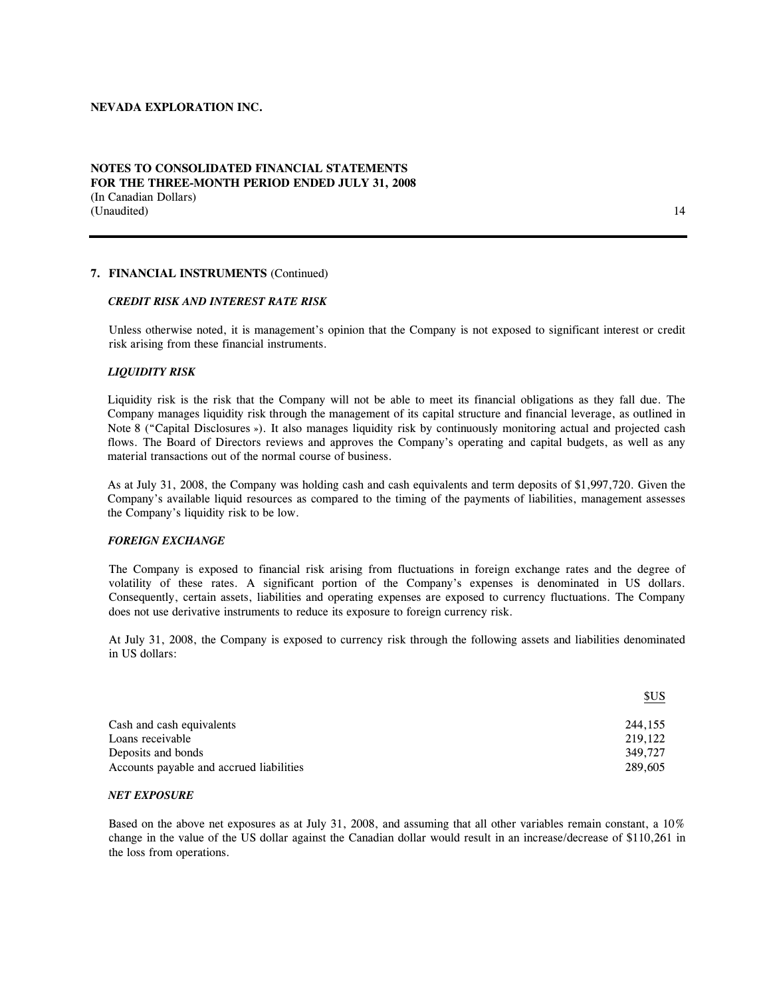### **NOTES TO CONSOLIDATED FINANCIAL STATEMENTS FOR THE THREE-MONTH PERIOD ENDED JULY 31, 2008**  (In Canadian Dollars) (Unaudited) 14

#### **7. FINANCIAL INSTRUMENTS** (Continued)

#### *CREDIT RISK AND INTEREST RATE RISK*

Unless otherwise noted, it is management's opinion that the Company is not exposed to significant interest or credit risk arising from these financial instruments.

#### *LIQUIDITY RISK*

Liquidity risk is the risk that the Company will not be able to meet its financial obligations as they fall due. The Company manages liquidity risk through the management of its capital structure and financial leverage, as outlined in Note 8 ("Capital Disclosures »). It also manages liquidity risk by continuously monitoring actual and projected cash flows. The Board of Directors reviews and approves the Company's operating and capital budgets, as well as any material transactions out of the normal course of business.

As at July 31, 2008, the Company was holding cash and cash equivalents and term deposits of \$1,997,720. Given the Company's available liquid resources as compared to the timing of the payments of liabilities, management assesses the Company's liquidity risk to be low.

#### *FOREIGN EXCHANGE*

The Company is exposed to financial risk arising from fluctuations in foreign exchange rates and the degree of volatility of these rates. A significant portion of the Company's expenses is denominated in US dollars. Consequently, certain assets, liabilities and operating expenses are exposed to currency fluctuations. The Company does not use derivative instruments to reduce its exposure to foreign currency risk.

At July 31, 2008, the Company is exposed to currency risk through the following assets and liabilities denominated in US dollars:

|                                          | \$US    |
|------------------------------------------|---------|
| Cash and cash equivalents                | 244.155 |
| Loans receivable                         | 219,122 |
| Deposits and bonds                       | 349.727 |
| Accounts payable and accrued liabilities | 289,605 |

#### *NET EXPOSURE*

Based on the above net exposures as at July 31, 2008, and assuming that all other variables remain constant, a 10% change in the value of the US dollar against the Canadian dollar would result in an increase/decrease of \$110,261 in the loss from operations.